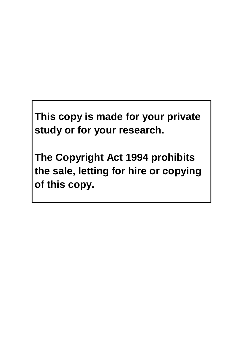**This copy is made for your private study or for your research.**

**The Copyright Act 1994 prohibits the sale, letting for hire or copying of this copy.**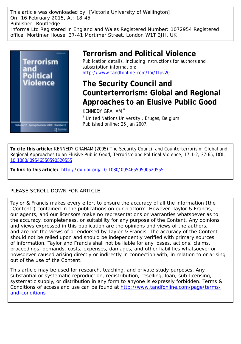This article was downloaded by: [Victoria University of Wellington] On: 16 February 2015, At: 18:45 Publisher: Routledge Informa Ltd Registered in England and Wales Registered Number: 1072954 Registered office: Mortimer House, 37-41 Mortimer Street, London W1T 3JH, UK



## **Terrorism and Political Violence**

Publication details, including instructions for authors and subscription information: <http://www.tandfonline.com/loi/ftpv20>

# **The Security Council and Counterterrorism: Global and Regional Approaches to an Elusive Public Good**

KENNEDY GRAHAM<sup>a</sup>

<sup>a</sup> United Nations University, Bruges, Belgium Published online: 25 Jan 2007.

**To cite this article:** KENNEDY GRAHAM (2005) The Security Council and Counterterrorism: Global and Regional Approaches to an Elusive Public Good, Terrorism and Political Violence, 17:1-2, 37-65, DOI: [10.1080/09546550590520555](http://www.tandfonline.com/action/showCitFormats?doi=10.1080/09546550590520555)

**To link to this article:** <http://dx.doi.org/10.1080/09546550590520555>

### PLEASE SCROLL DOWN FOR ARTICLE

Taylor & Francis makes every effort to ensure the accuracy of all the information (the "Content") contained in the publications on our platform. However, Taylor & Francis, our agents, and our licensors make no representations or warranties whatsoever as to the accuracy, completeness, or suitability for any purpose of the Content. Any opinions and views expressed in this publication are the opinions and views of the authors, and are not the views of or endorsed by Taylor & Francis. The accuracy of the Content should not be relied upon and should be independently verified with primary sources of information. Taylor and Francis shall not be liable for any losses, actions, claims, proceedings, demands, costs, expenses, damages, and other liabilities whatsoever or howsoever caused arising directly or indirectly in connection with, in relation to or arising out of the use of the Content.

This article may be used for research, teaching, and private study purposes. Any substantial or systematic reproduction, redistribution, reselling, loan, sub-licensing, systematic supply, or distribution in any form to anyone is expressly forbidden. Terms & Conditions of access and use can be found at [http://www.tandfonline.com/page/terms](http://www.tandfonline.com/page/terms-and-conditions)[and-conditions](http://www.tandfonline.com/page/terms-and-conditions)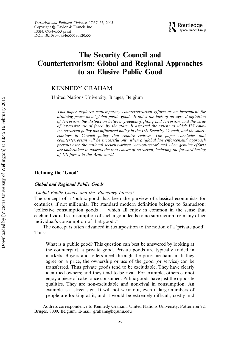

## The Security Council and Counterterrorism: Global and Regional Approaches to an Elusive Public Good

KENNEDY GRAHAM

United Nations University, Bruges, Belgium

This paper explores contemporary counterterrorism efforts as an instrument for attaining peace as a 'global public good'. It notes the lack of an agreed definition of terrorism, the distinction between freedom-fighting and terrorism, and the issue of 'excessive use of force' by the state. It assessed the extent to which US counter-terrorism policy has influenced policy in the UN Security Council, and the shortcomings in Council policy that require redress. The paper concludes that counterterrorism will be successful only when a 'global law enforcement' approach prevails over the national security-driven 'war-on-terror' and when genuine efforts are undertaken to address the root causes of terrorism, including the forward basing of US forces in the Arab world.

#### Defining the 'Good'

#### Global and Regional Public Goods

#### 'Global Public Goods' and the 'Planetary Interest'

The concept of a 'public good' has been the purview of classical economists for centuries, if not millennia. The standard modern definition belongs to Samuelson: 'collective consumption goods ... which all enjoy in common in the sense that each individual's consumption of such a good leads to no subtraction from any other individual's consumption of that good'.<sup>1</sup>

The concept is often advanced in juxtaposition to the notion of a 'private good'. Thus:

What is a public good? This question can best be answered by looking at the counterpart, a private good. Private goods are typically traded in markets. Buyers and sellers meet through the price mechanism. If they agree on a price, the ownership or use of the good (or service) can be transferred. Thus private goods tend to be excludable. They have clearly identified owners; and they tend to be rival. For example, others cannot enjoy a piece of cake, once consumed. Public goods have just the opposite qualities. They are non-excludable and non-rival in consumption. An example is a street sign. It will not wear out, even if large numbers of people are looking at it; and it would be extremely difficult, costly and

Address correspondence to Kennedy Graham, United Nations University, Potterierei 72, Bruges, 8000, Belgium. E-mail: graham@hq.unu.edu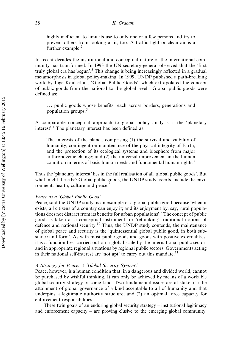highly inefficient to limit its use to only one or a few persons and try to prevent others from looking at it, too. A traffic light or clean air is a further example.<sup>2</sup>

In recent decades the institutional and conceptual nature of the international community has transformed. In 1993 the UN secretary-general observed that the 'first truly global era has begun<sup>'.3</sup> This change is being increasingly reflected in a gradual metamorphosis in global policy-making. In 1999, UNDP published a path-breaking work by Inge Kaul et al., 'Global Public Goods', which extrapolated the concept of public goods from the national to the global level.<sup>4</sup> Global public goods were defined as:

... public goods whose benefits reach across borders, generations and population groups.5

A comparable conceptual approach to global policy analysis is the 'planetary interest'.<sup>6</sup> The planetary interest has been defined as:

The interests of the planet, comprising (1) the survival and viability of humanity, contingent on maintenance of the physical integrity of Earth, and the protection of its ecological systems and biosphere from major anthropogenic change; and (2) the universal improvement in the human condition in terms of basic human needs and fundamental human rights.<sup>7</sup>

Thus the 'planetary interest' lies in the full realisation of all 'global public goods'. But what might these be? Global public goods, the UNDP study asserts, include the environment, health, culture and peace.<sup>8</sup>

#### Peace as a 'Global Public Good'

Peace, said the UNDP study, is an example of a global public good because 'when it exists, all citizens of a country can enjoy it; and its enjoyment by, say, rural populations does not distract from its benefits for urban populations'.<sup>9</sup> The concept of public goods is taken as a conceptual instrument for 'rethinking' traditional notions of defence and national security.<sup>10</sup> Thus, the UNDP study contends, the maintenance of global peace and security is the 'quintessential global public good, in both substance and form'. As with most public goods and goods with positive externalities, it is a function best carried out on a global scale by the international public sector, and in appropriate regional situations by regional public sectors. Governments acting in their national self-interest are 'not apt' to carry out this mandate.<sup>11</sup>

#### A Strategy for Peace: A 'Global Security System'?

Peace, however, is a human condition that, in a dangerous and divided world, cannot be purchased by wishful thinking. It can only be achieved by means of a workable global security strategy of some kind. Two fundamental issues are at stake: (1) the attainment of global governance of a kind acceptable to all of humanity and that underpins a legitimate authority structure; and (2) an optimal force capacity for enforcement responsibilities.

These twin goals of an enduring global security strategy – institutional legitimacy and enforcement capacity – are proving elusive to the emerging global community.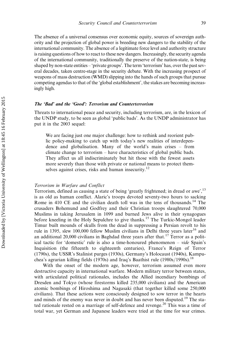The absence of a universal consensus over economic equity, sources of sovereign authority and the projection of global power is breeding new dangers to the stability of the international community. The absence of a legitimate force level and authority structure is raising questions of how to react to these new dangers. Increasingly, the security agenda of the international community, traditionally the preserve of the nation-state, is being shaped by non-state entities – 'private groups'. The term 'terrorism' has, over the past several decades, taken centre-stage in the security debate. With the increasing prospect of weapons of mass destruction (WMD) slipping into the hands of such groups that pursue competing agendas to that of the 'global establishment', the stakes are becoming increasingly high.

#### The 'Bad' and the 'Good': Terrorism and Counterterrorism

Threats to international peace and security, including terrorism, are, in the lexicon of the UNDP study, to be seen as global 'public bads'. As the UNDP administrator has put it in the 2003 sequel:

We are facing just one major challenge: how to rethink and reorient public policy-making to catch up with today's new realities of interdependence and globalisation. Many of the world's main crises – from climate change to terrorism – have characteristics of global public bads. They affect us all indiscriminately but hit those with the fewest assets more severely than those with private or national means to protect themselves against crises, risks and human insecurity.<sup>12</sup>

#### Terrorism in Warfare and Conflict

Terrorism, defined as causing a state of being 'greatly frightened; in dread or awe', <sup>13</sup> is as old as human conflict. Alaric's troops devoted seventy-two hours to sacking Rome in 410 CE and the civilian death toll was in the tens of thousands.<sup>14</sup> The crusaders Bohemund and Godfrey and their Christian troops slaughtered 70,000 Muslims in taking Jerusalem in 1099 and burned Jews alive in their synagogues before kneeling in the Holy Sepulchre to give thanks.<sup>15</sup> The Turkic-Mongol leader Timur built mounds of skulls from the dead in suppressing a Persian revolt to his rule in 1395, slew 100,000 fellow Muslim civilians in Delhi three years later<sup>16</sup> and an additional 20,000 civilians in Baghdad three years after that.<sup>17</sup> Terror as a political tactic for 'domestic' rule is also a time-honoured phenomenon – vide Spain's Inquisition (the fifteenth to eighteenth centuries), France's Reign of Terror (1790s), the USSR's Stalinist purges (1930s), Germany's Holocaust (1940s), Kampuchea's agrarian killing fields (1970s) and Iraq's Baathist rule (1980s/1990s).<sup>18</sup>

With the onset of the modern age, however, terrorism assumed even more destructive capacity in international warfare. Modern military terror between states, with articulated political rationales, includes the Allied incendiary bombings of Dresden and Tokyo (whose firestorms killed 235,000 civilians) and the American atomic bombings of Hiroshima and Nagasaki (that together killed some 250,000 civilians). That these actions were consciously designed to sow terror in the hearts and minds of the enemy was never in doubt and has never been disputed.<sup>19</sup> The stated rationale rested on a marriage of self-defence and revenge.<sup>20</sup> This was a time of total war, yet German and Japanese leaders were tried at the time for war crimes.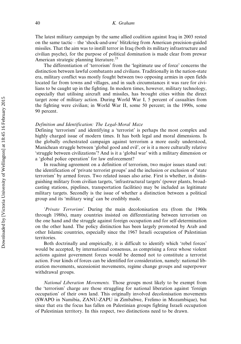The latest military campaign by the same allied coalition against Iraq in 2003 rested on the same tactic – the 'shock-and-awe' blitzkrieg from American precision-guided missiles. That the aim was to instill terror in Iraq (both its military infrastructure and civilian psyche), for the purpose of political domination is made clear from prewar American strategic planning literature.<sup>21</sup>

The differentiation of 'terrorism' from the 'legitimate use of force' concerns the distinction between lawful combatants and civilians. Traditionally in the nation-state era, military conflict was mostly fought between two opposing armies in open fields located far from towns and villages, and in such circumstances it was rare for civilians to be caught up in the fighting. In modern times, however, military technology, especially that utilising aircraft and missiles, has brought cities within the direct target zone of military action. During World War I, 5 percent of casualties from the fighting were civilian; in World War II, some 50 percent; in the 1990s, some 90 percent.

#### Definition and Identification: The Legal-Moral Maze

Defining 'terrorism' and identifying a 'terrorist' is perhaps the most complex and highly charged issue of modern times. It has both legal and moral dimensions. Is the globally orchestrated campaign against terrorism a more easily understood, Manichean struggle between 'global good and evil', or is it a more culturally relative 'struggle between civilizations'? And is it a 'global war' with a military dimension or a 'global police operation' for law enforcement?

In reaching agreement on a definition of terrorism, two major issues stand out: the identification of 'private terrorist groups' and the inclusion or exclusion of 'state terrorism' by armed forces. Two related issues also arise. First is whether, in distinguishing military from civilian targets, 'infrastructural targets' (power plants, broadcasting stations, pipelines, transportation facilities) may be included as legitimate military targets. Secondly is the issue of whether a distinction between a political group and its 'military wing' can be credibly made.

'Private Terrorism'. During the main decolonisation era (from the 1960s through 1980s), many countries insisted on differentiating between terrorism on the one hand and the struggle against foreign occupation and for self-determination on the other hand. The policy distinction has been largely promoted by Arab and other Islamic countries, especially since the 1967 Israeli occupation of Palestinian territories.

Both doctrinally and empirically, it is difficult to identify which 'rebel forces' would be accepted, by international consensus, as comprising a force whose violent actions against government forces would be deemed not to constitute a terrorist action. Four kinds of forces can be identified for consideration, namely: national liberation movements, secessionist movements, regime change groups and superpower withdrawal groups.

National Liberation Movements. Those groups most likely to be exempt from the 'terrorism' charge are those struggling for national liberation against 'foreign occupation' of their own land. This originally involved decolonisation movements (SWAPO in Namibia, ZANU-ZAPU in Zimbabwe, Frelimo in Mozambique), but since that era the focus has fallen on Palestinian groups fighting Israeli occupation of Palestinian territory. In this respect, two distinctions need to be drawn.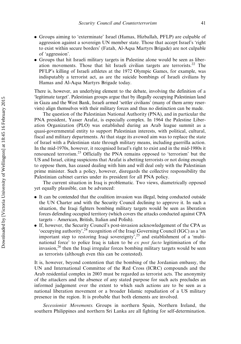- . Groups aiming to 'exterminate' Israel (Hamas, Hizballah, PFLP) are culpable of aggression against a sovereign UN member state. Those that accept Israel's 'right to exist within secure borders' (Fatah, Al-Aqsa Martyrs Brigade) are not culpable of 'aggression'.
- . Groups that hit Israeli military targets in Palestine alone would be seen as liberation movements. Those that hit Israeli civilian targets are terrorists.<sup>22</sup> The PFLP's killing of Israeli athletes at the 1972 Olympic Games, for example, was indisputably a terrorist act, as are the suicide bombings of Israeli civilians by Hamas and Al-Aqsa Martyrs Brigade today.

There is, however, an underlying element to the debate, involving the definition of a 'legitimate target'. Palestinian groups argue that by illegally occupying Palestinian land in Gaza and the West Bank, Israeli armed 'settler civilians' (many of them army reservists) align themselves with their military forces and thus no distinction can be made.

The question of the Palestinian National Authority (PNA), and in particular the PNA president, Yasser Arafat, is especially complex. In 1964 the Palestine Liberation Organization (PLO) was established during an Arab league summit as a quasi-governmental entity to support Palestinian interests, with political, cultural, fiscal and military departments. At that stage its avowed aim was to replace the state of Israel with a Palestinian state through military means, including guerrilla action. In the mid-1970s, however, it recognised Israel's right to exist and in the mid-1980s it renounced terrorism.<sup>23</sup> Officially the PNA remains opposed to 'terrorism' but the US and Israel, citing suspicions that Arafat is abetting terrorists or not doing enough to oppose them, has ceased dealing with him and will deal only with the Palestinian prime minister. Such a policy, however, disregards the collective responsibility the Palestinian cabinet carries under its president for all PNA policy.

The current situation in Iraq is problematic. Two views, diametrically opposed yet equally plausible, can be advanced:

- . It can be contended that the coalition invasion was illegal, being conducted outside the UN Charter and with the Security Council declining to approve it. In such a situation, the Iraqi fighters bombing military targets would be seen as liberation forces defending occupied territory (which covers the attacks conducted against CPA targets – American, British, Italian and Polish).
- . If, however, the Security Council's post-invasion acknowledgement of the CPA as 'occupying authority',  $^{24}$  recognition of the Iraqi Governing Council (IGC) as a 'an important step to restoring Iraqi sovereignty,<sup>25</sup> and establishment of a 'multinational force' to police Iraq is taken to be ex post facto legitimisation of the invasion,<sup>26</sup> then the Iraqi irregular forces bombing military targets would be seen as terrorists (although even this can be contested).

It is, however, beyond contention that the bombing of the Jordanian embassy, the UN and International Committee of the Red Cross (ICRC) compounds and the Arab residential complex in 2003 must be regarded as terrorist acts. The anonymity of the attackers and the absence of any stated purpose for such acts precludes an informed judgement over the extent to which such actions are to be seen as a national liberation movement or a broader Islamic repudiation of a US military presence in the region. It is probable that both elements are involved.

Secessionist Movements. Groups in northern Spain, Northern Ireland, the southern Philippines and northern Sri Lanka are all fighting for self-determination.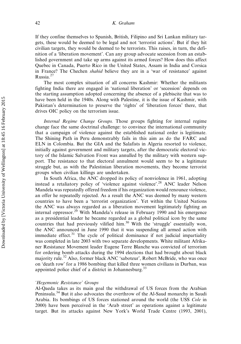If they confine themselves to Spanish, British, Filipino and Sri Lankan military targets, these would be deemed to be legal and not 'terrorist actions'. But if they hit civilian targets, they would be deemed to be terrorists. This raises, in turn, the definition of a 'liberation movement'. Can any group advocate secession from an established government and take up arms against its armed forces? How does this affect Quebec in Canada, Puerto Rico in the United States, Assam in India and Corsica in France? The Chechen shahid believe they are in a 'war of resistance' against Russia.<sup>27</sup>

The most complex situation of all concerns Kashmir: Whether the militants fighting India there are engaged in 'national liberation' or 'secession' depends on the starting assumption adopted concerning the absence of a plebiscite that was to have been held in the 1940s. Along with Palestine, it is the issue of Kashmir, with Pakistan's determination to preserve the 'rights' of 'liberation forces' there, that drives OIC policy on the terrorism issue.

Internal Regime Change Groups. Those groups fighting for internal regime change face the same doctrinal challenge: to convince the international community that a campaign of violence against the established national order is legitimate. The Shining Path in Peru demonstrably fails in this aim as do the FARC and ELN in Colombia. But the GIA and the Salafists in Algeria resorted to violence, initially against government and military targets, after the democratic electoral victory of the Islamic Salvation Front was annulled by the military with western support. The resistance to that electoral annulment would seem to be a legitimate struggle but, as with the Palestinian liberation movements, they become terrorist groups when civilian killings are undertaken.

In South Africa, the ANC dropped its policy of nonviolence in 1961, adopting instead a retaliatory policy of 'violence against violence'.<sup>28</sup> ANC leader Nelson Mandela was repeatedly offered freedom if his organization would renounce violence, an offer he repeatedly rejected. As a result the ANC was deemed by many western countries to have been a 'terrorist organization'. Yet within the United Nations the ANC was always regarded as a liberation movement legitimately fighting an internal oppressor.<sup>29</sup> With Mandela's release in February 1990 and his emergence as a presidential leader he became regarded as a global political icon by the same countries that had previously vilified him.<sup>30</sup> With the 'struggle' essentially won, the ANC announced in June 1990 that it was suspending all armed action with immediate effect.<sup>31</sup> The cycle of political dominance if not judicial impartiality was completed in late 2003 with two separate developments. White militant Afrikaner Resistance Movement leader Eugene Terre Blanche was convicted of terrorism for ordering bomb attacks during the 1994 elections that had brought about black majority rule.<sup>32</sup> Also, former black ANC 'saboteur', Robert McBride, who was once on 'death row' for a 1986 bombing that killed three women civilians in Durban, was appointed police chief of a district in Johannesburg.<sup>33</sup>

#### 'Hegemonic Resistance' Groups

Al-Qaeda takes as its main goal the withdrawal of US forces from the Arabian Peninsula.<sup>34</sup> But it also advocates the overthrow of the Al-Saud monarchy in Saudi Arabia. Its bombings of US forces stationed around the world (the USS Cole in 2000) have been perceived in the 'Arab street' as operations against a legitimate target. But its attacks against New York's World Trade Centre (1993, 2001),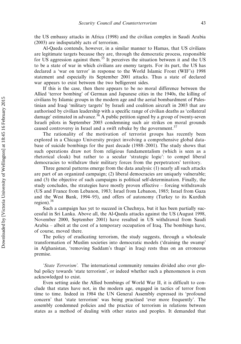the US embassy attacks in Africa (1998) and the civilian complex in Saudi Arabia (2003) are indisputably acts of terrorism.

Al-Qaeda contends, however, in a similar manner to Hamas, that US civilians are legitimate targets because they are, through the democratic process, responsible for US aggression against them.<sup>35</sup> It perceives the situation between it and the US to be a state of war in which civilians are enemy targets. For its part, the US has declared a 'war on terror' in response to the World Islamic Front (WIF's) 1998 statement and especially its September 2001 attacks. Thus a state of declared war appears to exist between the two belligerent sides.

If this is the case, then there appears to be no moral difference between the Allied 'terror bombing' of German and Japanese cities in the 1940s, the killing of civilians by Islamic groups in the modern age and the aerial bombardment of Palestinian and Iraqi 'military targets' by Israeli and coalition aircraft in 2003 that are authorised by civilian leadership with a specific range of civilian deaths as 'collateral damage' estimated in advance.<sup>36</sup> A public petition signed by a group of twenty-seven Israeli pilots in September 2003 condemning such air strikes on moral grounds caused controversy in Israel and a swift rebuke by the government.<sup>37</sup>

The rationality of the motivation of terrorist groups has recently been explored in a Chicago University project involving a comprehensive global database of suicide bombings for the past decade (1988–2001). The study shows that such operations draw not from religious fundamentalism (which is seen as a rhetorical cloak) but rather to a secular 'strategic logic': to compel liberal democracies to withdraw their military forces from the perpetrators' territory.

Three general patterns emerge from the data analysis: (1) nearly all such attacks are part of an organized campaign; (2) liberal democracies are uniquely vulnerable; and (3) the objective of such campaigns is political self-determination. Finally, the study concludes, the strategies have mostly proven effective – forcing withdrawals (US and France from Lebanon, 1983; Israel from Lebanon, 1985; Israel from Gaza and the West Bank, 1994–95), and offers of autonomy (Turkey to its Kurdish region).<sup>38</sup>

Such a campaign has yet to succeed in Chechnya, but it has been partially successful in Sri Lanka. Above all, the Al-Qaeda attacks against the US (August 1998, November 2000, September 2001) have resulted in US withdrawal from Saudi Arabia – albeit at the cost of a temporary occupation of Iraq. The bombings have, of course, moved there.

The policy of eradicating terrorism, the study suggests, through a wholesale transformation of Muslim societies into democratic models ('draining the swamp' in Afghanistan, 'removing Saddam's thugs' in Iraq) rests thus on an erroneous premise.

'State Terrorism'. The international community remains divided also over global policy towards 'state terrorism', or indeed whether such a phenomenon is even acknowledged to exist.

Even setting aside the Allied bombings of World War II, it is difficult to conclude that states have not, in the modern age, engaged in tactics of terror from time to time. Indeed in 1984 the UN General Assembly expressed its 'profound concern' that 'state terrorism' was being practised 'ever more frequently'. The assembly condemned policies and the practice of terrorism in relations between states as a method of dealing with other states and peoples. It demanded that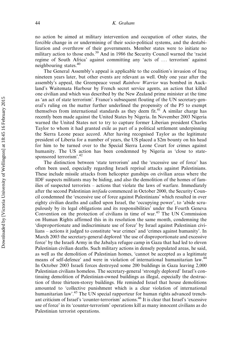no action be aimed at military intervention and occupation of other states, the forcible change in or undermining of their socio-political systems, and the destabilization and overthrow of their governments. Member states were to initiate no military action to those ends.<sup>39</sup> And in 1986 the Security Council warned the 'racist regime of South Africa' against committing any 'acts of ... terrorism' against neighbouring states.<sup>40</sup>

The General Assembly's appeal is applicable to the coalition's invasion of Iraq nineteen years later, but other events are relevant as well. Only one year after the assembly's appeal, the Greenpeace vessel Rainbow Warrior was bombed in Auckland's Waitemata Harbour by French secret service agents, an action that killed one civilian and which was described by the New Zealand prime minister at the time as 'an act of state terrorism'. France's subsequent flouting of the UN secretary-general's ruling on the matter further underlined the propensity of the P5 to exempt themselves from international standards as they deem fit.<sup>41</sup> A similar charge has recently been made against the United States by Nigeria. In November 2003 Nigeria warned the United States not to try to capture former Liberian president Charles Taylor to whom it had granted exile as part of a political settlement underpinning the Sierra Leone peace accord. After having recognised Taylor as the legitimate president of Liberia for a number of years, the US placed a \$2m bounty on his head for him to be turned over to the Special Sierra Leone Court for crimes against humanity. The US action has been condemned by Nigeria as 'close to statesponsored terrorism'.<sup>42</sup>

The distinction between 'state terrorism' and the 'excessive use of force' has often been used, especially regarding Israeli reprisal attacks against Palestinians. These include missile attacks from helicopter gunships on civilian areas where the IDF suspects militants may be hiding, and also the demolition of the homes of families of suspected terrorists – actions that violate the laws of warfare. Immediately after the second Palestinian intifada commenced in October 2000, the Security Council condemned the 'excessive use of force against Palestinians' which resulted in over eighty civilian deaths and called upon Israel, the 'occupying power', to 'abide scrupulously by its legal obligations and its responsibilities' under the Fourth Geneva Convention on the protection of civilians in time of war. $43$  The UN Commission on Human Rights affirmed this in its resolution the same month, condemning the 'disproportionate and indiscriminate use of force' by Israel against Palestinian civilians – actions it judged to constitute 'war crimes' and 'crimes against humanity'. In March 2003 the secretary-general deplored 'the use of disproportionate and excessive force' by the Israeli Army in the Jabalya refugee camp in Gaza that had led to eleven Palestinian civilian deaths. Such military actions in densely populated areas, he said, as well as the demolition of Palestinian homes, 'cannot be accepted as a legitimate means of self-defence' and were in violation of international humanitarian law.<sup>44</sup> In October 2003 Israeli forces destroyed some 200 buildings in Gaza leaving 2,000 Palestinian civilians homeless. The secretary-general 'strongly deplored' Israel's continuing demolition of Palestinian-owned buildings as illegal, especially the destruction of three thirteen-storey buildings. He reminded Israel that house demolitions amounted to 'collective punishment which is a clear violation of international humanitarian law'.<sup>45</sup> The UN special rapporteur for human rights advanced trenchant criticism of Israel's 'counter-terrorism' actions.<sup>46</sup> It is clear that Israel's 'excessive use of force' in its 'counter-terrorism' operations kill as many innocent civilians as do Palestinian terrorist operations.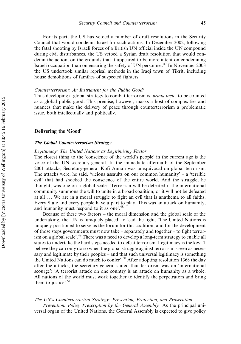For its part, the US has vetoed a number of draft resolutions in the Security Council that would condemn Israel for such actions. In December 2002, following the fatal shooting by Israeli forces of a British UN official inside the UN compound during civil disturbances, the US vetoed a Syrian draft resolution that would condemn the action, on the grounds that it appeared to be more intent on condemning Israeli occupation than on ensuring the safety of UN personnel.<sup>47</sup> In November 2003 the US undertook similar reprisal methods in the Iraqi town of Tikrit, including house demolitions of families of suspected fighters.

#### Counterterrorism: An Instrument for the Public Good?

Thus developing a global strategy to combat terrorism is, prima facie, to be counted as a global public good. This premise, however, masks a host of complexities and nuances that make the delivery of peace through counterterrorism a problematic issue, both intellectually and politically.

#### Delivering the 'Good'

#### The Global Counterterrorism Strategy

#### Legitimacy: The United Nations as Legitimising Factor

The closest thing to the 'conscience of the world's people' in the current age is the voice of the UN secretary-general. In the immediate aftermath of the September 2001 attacks, Secretary-general Kofi Annan was unequivocal on global terrorism. The attacks were, he said, 'vicious assaults on our common humanity' – a 'terrible evil' that had shocked the conscience of the entire world. And the struggle, he thought, was one on a global scale: 'Terrorism will be defeated if the international community summons the will to unite in a broad coalition, or it will not be defeated at all ... We are in a moral struggle to fight an evil that is anathema to all faiths. Every State and every people have a part to play. This was an attack on humanity, and humanity must respond to it as one'.<sup>48</sup>

Because of these two factors – the moral dimension and the global scale of the undertaking, the UN is 'uniquely placed' to lead the fight. 'The United Nations is uniquely positioned to serve as the forum for this coalition, and for the development of those steps governments must now take – separately and together – to fight terrorism on a global scale<sup>'.49</sup> There was a need to develop a long-term strategy to enable all states to undertake the hard steps needed to defeat terrorism. Legitimacy is the key: 'I believe they can only do so when the global struggle against terrorism is seen as necessary and legitimate by their peoples – and that such universal legitimacy is something the United Nations can do much to confer'.<sup>50</sup> After adopting resolution 1368 the day after the attacks, the secretary-general stated that terrorism was an 'international scourge': 'A terrorist attack on one country is an attack on humanity as a whole. All nations of the world must work together to identify the perpetrators and bring them to justice'. $51$ 

#### The UN's Counterterrorism Strategy: Prevention, Protection, and Prosecution

Prevention: Policy Prescription by the General Assembly. As the principal universal organ of the United Nations, the General Assembly is expected to give policy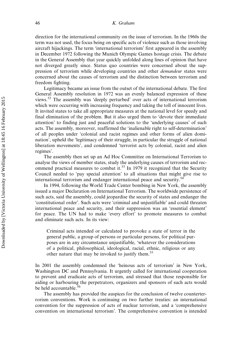direction for the international community on the issue of terrorism. In the 1960s the term was not used, the focus being on specific acts of violence such as those involving aircraft hijackings. The term 'international terrorism' first appeared in the assembly in December 1972 following the Munich Olympic Games hostage crisis. The debate in the General Assembly that year quickly unfolded along lines of opinion that have not diverged greatly since. Status quo countries were concerned about the suppression of terrorism while developing countries and other demandeur states were concerned about the causes of terrorism and the distinction between terrorism and freedom fighting.

Legitimacy became an issue from the outset of the international debate. The first General Assembly resolution in 1972 was an evenly balanced expression of these views.<sup>52</sup> The assembly was 'deeply perturbed' over acts of international terrorism which were occurring with increasing frequency and taking the toll of innocent lives. It invited states to take all appropriate measures at the national level for speedy and final elimination of the problem. But it also urged them to 'devote their immediate attention' to finding just and peaceful solutions to the 'underlying causes' of such acts. The assembly, moreover, reaffirmed the 'inalienable right to self-determination' of all peoples under 'colonial and racist regimes and other forms of alien domination', upheld the 'legitimacy of their struggle, in particular the struggle of national liberation movements', and condemned 'terrorist acts by colonial, racist and alien regimes'.

The assembly then set up an Ad Hoc Committee on International Terrorism to analyse the views of member states, study the underlying causes of terrorism and recommend practical measures to combat it.<sup>53</sup> In 1979 it recognized that the Security Council needed to 'pay special attention' to all situations that might give rise to international terrorism and endanger international peace and security.<sup>54</sup>

In 1994, following the World Trade Center bombing in New York, the assembly issued a major Declaration on International Terrorism. The worldwide persistence of such acts, said the assembly, could jeopardise the security of states and endanger the 'constitutional order'. Such acts were 'criminal and unjustifiable' and could threaten international peace and security, and their suppression was an 'essential element' for peace. The UN had to make 'every effort' to promote measures to combat and eliminate such acts. In its view:

Criminal acts intended or calculated to provoke a state of terror in the general public, a group of persons or particular persons, for political purposes are in any circumstance unjustifiable, 'whatever the considerations of a political, philosophical, ideological, racial, ethnic, religious or any other nature that may be invoked to justify them.<sup>55</sup>

In 2001 the assembly condemned the 'heinous acts of terrorism' in New York, Washington DC and Pennsylvania. It urgently called for international cooperation to prevent and eradicate acts of terrorism, and stressed that those responsible for aiding or harbouring the perpetrators, organizers and sponsors of such acts would be held accountable.<sup>56</sup>

The assembly has provided the auspices for the conclusion of twelve counterterrorism conventions. Work is continuing on two further treaties: an international convention for the suppression of acts of nuclear terrorism, and a 'comprehensive convention on international terrorism'. The comprehensive convention is intended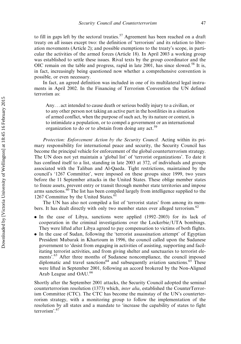to fill in gaps left by the sectoral treaties.<sup>57</sup> Agreement has been reached on a draft treaty on all issues except two: the definition of 'terrorism' and its relation to liberation movements (Article 2); and possible exemptions to the treaty's scope, in particular the activities of the armed forces (Article 18). In April 2003 a working group was established to settle these issues. Rival texts by the group coordinator and the OIC remain on the table and progress, rapid in late 2001, has since slowed.<sup>58</sup> It is, in fact, increasingly being questioned now whether a comprehensive convention is possible, or even necessary.

In fact, an agreed definition was included in one of its multilateral legal instruments in April 2002. In the Financing of Terrorism Convention the UN defined terrorism as:

Any... act intended to cause death or serious bodily injury to a civilian, or to any other person not taking an active part in the hostilities in a situation of armed conflict, when the purpose of such act, by its nature or context, is to intimidate a population, or to compel a government or an international organization to do or to abstain from doing any act.<sup>59</sup>

Protection: Enforcement Action by the Security Council. Acting within its primary responsibility for international peace and security, the Security Council has become the principal vehicle for enforcement of the global counterterrorism strategy. The UN does not yet maintain a 'global list' of 'terrorist organizations'. To date it has confined itself to a list, standing in late 2003 at 372, of individuals and groups associated with the Taliban and Al-Qaeda. Tight restrictions, maintained by the council's '1267 Committee', were imposed on these groups since 1999, two years before the 11 September attacks in the United States. These oblige member states to freeze assets, prevent entry or transit through member state territories and impose arms sanctions.<sup>60</sup> The list has been compiled largely from intelligence supplied to the 1267 Committee by the United States.<sup>61</sup>

The UN has also not compiled a list of 'terrorist states' from among its members. It has dealt directly with only two member states over alleged terrorism.<sup>62</sup>

- . In the case of Libya, sanctions were applied (1992–2003) for its lack of cooperation in the criminal investigations over the Lockerbie/UTA bombings. They were lifted after Libya agreed to pay compensation to victims of both flights.
- . In the case of Sudan, following the 'terrorist assassination attempt' of Egyptian President Mubarak in Khartoum in 1996, the council called upon the Sudanese government to 'desist from engaging in activities of assisting, supporting and facilitating terrorist activities, and from giving shelter and sanctuaries to terrorist elements'.<sup>63</sup> After three months of Sudanese noncompliance, the council imposed diplomatic and travel sanctions<sup>64</sup> and subsequently aviation sanctions.<sup>65</sup> These were lifted in September 2001, following an accord brokered by the Non-Aligned Arab League and OAU.<sup>66</sup>

Shortly after the September 2001 attacks, the Security Council adopted the seminal counterterrorism resolution (1373) which, inter alia, established the CounterTerrorism Committee (CTC). The CTC has become the mainstay of the UN's counterterrorism strategy, with a monitoring group to follow the implementation of the resolution by all states and a mandate to 'increase the capability of states to fight terrorism'.<sup>67</sup>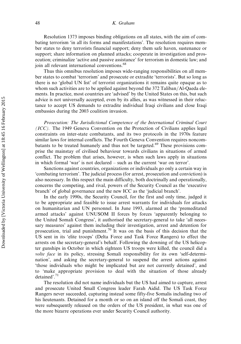Resolution 1373 imposes binding obligations on all states, with the aim of combating terrorism 'in all its forms and manifestations'. The resolution requires member states to deny terrorists financial support; deny them safe haven, sustenance or support; share information on planned attacks; cooperate in investigation and prosecution; criminalize 'active and passive assistance' for terrorism in domestic law; and join all relevant international conventions.<sup>68</sup>

Thus this omnibus resolution imposes wide-ranging responsibilities on all member states to combat 'terrorism' and prosecute or extradite 'terrorists'. But so long as there is no 'global UN list' of terrorist organizations it remains quite opaque as to whom such activities are to be applied against beyond the 372 Taliban/Al-Qaeda elements. In practice, most countries are 'advised' by the United States on this, but such advice is not universally accepted, even by its allies, as was witnessed in their reluctance to accept US demands to extradite individual Iraqi civilians and close Iraqi embassies during the 2003 coalition invasion.

Prosecution: The Jurisdictional Competence of the International Criminal Court (ICC). The 1949 Geneva Convention on the Protection of Civilians applies legal constraints on inter-state combatants, and its two protocols in the 1970s feature similar laws for internal conflicts. The Fourth Geneva Convention requires noncombatants to be treated humanely and thus not be targeted.<sup>69</sup> These provisions comprise the mainstay of civilised behaviour towards civilians in situations of armed conflict. The problem that arises, however, is when such laws apply in situations in which formal 'war' is not declared – such as the current 'war on terror'.

Sanctions against countries, organizations or individuals go only a certain way in 'combating terrorism'. The judicial process (for arrest, prosecution and conviction) is also necessary. In this respect the main difficulty, both doctrinally and operationally, concerns the competing, and rival, powers of the Security Council as the 'executive branch' of global governance and the new ICC as the 'judicial branch'.

In the early 1990s, the Security Council, for the first and only time, judged it to be appropriate and feasible to issue arrest warrants for individuals for attacks on humanitarian and UN personnel. In June 1993, alarmed at the 'premeditated armed attacks' against UNUSOM II forces by forces 'apparently belonging to the United Somali Congress', it authorised the secretary-general to take 'all necessary measures' against them including their investigation, arrest and detention for prosecution, trial and punishment.<sup>70</sup> It was on the basis of this decision that the US sent in its 'elite troops' (Delta Force and Task Force Rangers) to effect the arrests on the secretary-general's behalf. Following the downing of the US helicopter gunships in October in which eighteen US troops were killed, the council did a volte face in its policy, stressing Somali responsibility for its own 'self-determination', and asking the secretary-general to suspend the arrest actions against 'those individuals who might be implicated but are not currently detained', and to 'make appropriate provision to deal with the situation of those already detained'.<sup>71</sup>

The resolution did not name individuals but the US had aimed to capture, arrest and prosecute United Small Congress leader Farah Aidid. The US Task Force Rangers never succeeded, capturing instead some fifty-five Somalis including two of his lieutenants. Detained for a month or so on an island off the Somali coast, they were subsequently released on the orders of the US president, in what was one of the more bizarre operations ever under Security Council authority.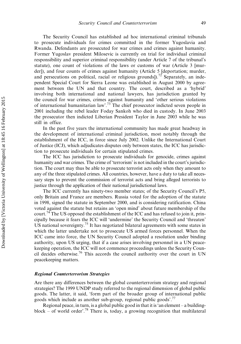The Security Council has established ad hoc international criminal tribunals to prosecute individuals for crimes committed in the former Yugoslavia and Rwanda. Defendants are prosecuted for war crimes and crimes against humanity. Former Yugoslav president Milosevic is currently on trial for individual criminal responsibility and superior criminal responsibility (under Article 7 of the tribunal's statute), one count of violations of the laws or customs of war (Article 3 [murder]), and four counts of crimes against humanity (Article 5 [deportation; murder, and persecutions on political, racial or religious grounds]).<sup>72</sup> Separately, an independent Special Court for Sierra Leone was established in August 2000 by agreement between the UN and that country. The court, described as a 'hybrid' involving both international and national lawyers, has jurisdiction granted by the council for war crimes, crimes against humanity and 'other serious violations of international humanitarian law'.<sup>73</sup> The chief prosecutor indicted seven people in 2001 including the rebel leader Foday Sankoh who died in custody. In June 2003 the prosecutor then indicted Liberian President Taylor in June 2003 while he was still in office.

In the past five years the international community has made great headway in the development of international criminal jurisdiction, most notably through the establishment of the ICC, in force since July 2002. Unlike the International Court of Justice (ICJ), which adjudicates disputes only between states, the ICC has jurisdiction to prosecute individuals for certain stipulated crimes.

The ICC has jurisdiction to prosecute individuals for genocide, crimes against humanity and war crimes. The crime of 'terrorism' is not included in the court's jurisdiction. The court may thus be able to prosecute terrorist acts only when they amount to any of the three stipulated crimes. All countries, however, have a duty to take all necessary steps to prevent the commission of terrorist acts and bring alleged terrorists to justice through the application of their national jurisdictional laws.

The ICC currently has ninety-two member states; of the Security Council's P5, only Britain and France are members. Russia voted for the adoption of the statute in 1998, signed the statute in September 2000, and is considering ratification. China voted against the statute but retains an 'open mind' about future membership of the court.<sup>74</sup> The US opposed the establishment of the ICC and has refused to join it, principally because it fears the ICC will 'undermine' the Security Council and 'threaten' US national sovereignty.<sup>75</sup> It has negotiated bilateral agreements with some states in which the latter undertake not to prosecute US armed forces personnel. When the ICC came into force, the UN Security Council adopted a resolution under binding authority, upon US urging, that if a case arises involving personnel in a UN peacekeeping operation, the ICC will not commence proceedings unless the Security Council decides otherwise.<sup>76</sup> This accords the council authority over the court in UN peacekeeping matters.

#### Regional Counterterrorism Strategies

Are there any differences between the global counterterrorism strategy and regional strategies? The 1999 UNDP study referred to the regional dimension of global public goods. The latter, it said, 'form part of the broader group of international public goods which include as another sub-group, regional public goods'.<sup>77</sup>

Regional peace, in turn, is a global public good in that it is 'an element – a buildingblock – of world order'.<sup>78</sup> There is, today, a growing recognition that multilateral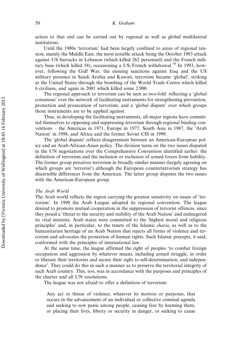action to that end can be carried out by regional as well as global multilateral institutions.

Until the 1980s 'terrorism' had been largely confined to areas of regional tension, mainly the Middle East, the most notable attack being the October 1983 attack against US barracks in Lebanon (which killed 262 personnel) and the French military base (which killed 58), occasioning a US/French withdrawal.<sup>79</sup> In 1993, however, following the Gulf War, the ensuing sanctions against Iraq and the US military presence in Saudi Arabia and Kuwait, terrorism became 'global', striking at the United States through the bombing of the World Trade Centre which killed 6 civilians, and again in 2001 which killed some 2,900.

The regional approach to terrorism can be seen as two-fold: reflecting a 'global consensus' over the network of facilitating instruments for strengthening prevention, protection and prosecution of terrorism, and a 'global dispute' over which groups those instruments are to be applied against.

Thus, in developing the facilitating instruments, all major regions have committed themselves to opposing and suppressing terrorism through regional binding conventions – the Americas in 1971, Europe in 1977, South Asia in 1987, the 'Arab Nation' in 1998, and Africa and the former Soviet CIS in 1999.

The 'global dispute' reflects disagreement between an American-European policy and an Arab-African-Asian policy. The division turns on the two issues disputed in the UN negotiations over the Comprehensive Convention identified earlier: the definition of terrorism and the inclusion or exclusion of armed forces from liability. The former group perceives terrorism in broadly similar manner (largely agreeing on which groups are 'terrorist') although the European counterterrorism strategy has discernible differences from the American. The latter group disputes the two issues with the American-European group.

#### The Arab World

The Arab world reflects the region carrying the greatest sensitivity on issues of 'terrorism'. In 1998 the Arab League adopted its regional convention. The league desired to promote mutual cooperation in the suppression of terrorist offences, since they posed a 'threat to the security and stability of the Arab Nation' and endangered its vital interests. Arab states were committed to the 'highest moral and religious principles' and, in particular, to the tenets of the Islamic sharia, as well as to the humanitarian heritage of an Arab Nation that rejects all forms of violence and terrorism and advocates the protection of human rights. Such Islamic precepts, it said, conformed with the principles of international law.

At the same time, the league affirmed the right of peoples 'to combat foreign occupation and aggression by whatever means, including armed struggle, in order to liberate their territories and secure their right to self-determination, and independence'. They could do this in such a manner as to preserve the territorial integrity of each Arab country. This, too, was in accordance with the purposes and principles of the charter and all UN resolutions.

The league was not afraid to offer a definition of terrorism:

Any act or threat of violence, whatever its motives or purposes, that occurs in the advancement of an individual or collective criminal agenda and seeking to sow panic among people, causing fear by harming them, or placing their lives, liberty or security in danger, or seeking to cause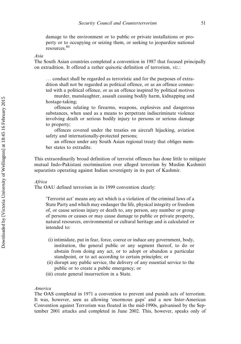damage to the environment or to public or private installations or property or to occupying or seizing them, or seeking to jeopardize national resources.<sup>80</sup>

#### Asia

The South Asian countries completed a convention in 1987 that focused principally on extradition. It offered a rather quixotic definition of terrorism, viz.:

... conduct shall be regarded as terroristic and for the purposes of extradition shall not be regarded as political offence, or as an offence connected with a political offence, or as an offence inspired by political motives

murder, manslaughter, assault causing bodily harm, kidnapping and hostage-taking;

offences relating to firearms, weapons, explosives and dangerous substances, when used as a means to perpetrate indiscriminate violence involving death or serious bodily injury to persons or serious damage to property;

offences covered under the treaties on aircraft hijacking, aviation safety and internationally-protected persons;

an offence under any South Asian regional treaty that obliges member states to extradite.

This extraordinarily broad definition of terrorist offences has done little to mitigate mutual Indo-Pakistani recrimination over alleged terrorism by Muslim Kashmiri separatists operating against Indian sovereignty in its part of Kashmir.

#### Africa

The OAU defined terrorism in its 1999 convention clearly:

'Terrorist act' means any act which is a violation of the criminal laws of a State Party and which may endanger the life, physical integrity or freedom of, or cause serious injury or death to, any person, any number or group of persons or causes or may cause damage to public or private property, natural resources, environmental or cultural heritage and is calculated or intended to:

- (i) intimidate, put in fear, force, coerce or induce any government, body, institution, the general public or any segment thereof, to do or abstain from doing any act, or to adopt or abandon a particular standpoint, or to act according to certain principles; or
- (ii) disrupt any public service, the delivery of any essential service to the public or to create a public emergency; or
- (iii) create general insurrection in a State.

#### America

The OAS completed in 1971 a convention to prevent and punish acts of terrorism. It was, however, seen as allowing 'enormous gaps' and a new Inter-American Convention against Terrorism was floated in the mid-1990s, galvanised by the September 2001 attacks and completed in June 2002. This, however, speaks only of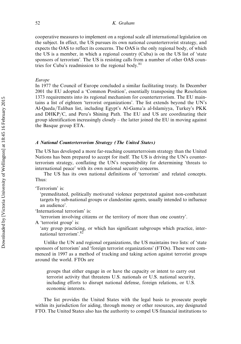cooperative measures to implement on a regional scale all international legislation on the subject. In effect, the US pursues its own national counterterrorist strategy, and expects the OAS to reflect its concerns. The OAS is the only regional body, of which the US is a member, in which a regional country (Cuba) is on the US list of 'state sponsors of terrorism'. The US is resisting calls from a number of other OAS countries for Cuba's readmission to the regional body.<sup>81</sup>

#### Europe

In 1977 the Council of Europe concluded a similar facilitating treaty. In December 2001 the EU adopted a 'Common Position', essentially transposing the Resolution 1373 requirements into its regional mechanism for counterterrorism. The EU maintains a list of eighteen 'terrorist organizations'. The list extends beyond the UN's Al-Qaeda/Taliban list, including Egypt's Al-Gama'a al-Islamiyya, Turkey's PKK and  $DHKP/C$ , and Peru's Shining Path. The EU and US are coordinating their group identification increasingly closely – the latter joined the EU in moving against the Basque group ETA.

#### A National Counterterrorism Strategy (The United States)

The US has developed a more far-reaching counterterroism strategy than the United Nations has been prepared to accept for itself. The US is driving the UN's counterterrorism strategy, conflating the UN's responsibility for determining 'threats to international peace' with its own national security concerns.

The US has its own national definitions of 'terrorism' and related concepts. Thus:

'Terrorism' is:

'premeditated, politically motivated violence perpetrated against non-combatant targets by sub-national groups or clandestine agents, usually intended to influence an audience'.

'International terrorism' is:

'terrorism involving citizens or the territory of more than one country'.

A 'terrorist group' is:

'any group practicing, or which has significant subgroups which practice, international terrorism'.<sup>82</sup>

Unlike the UN and regional organizations, the US maintains two lists: of 'state sponsors of terrorism' and 'foreign terrorist organizations' (FTOs). These were commenced in 1997 as a method of tracking and taking action against terrorist groups around the world. FTOs are

groups that either engage in or have the capacity or intent to carry out terrorist activity that threatens U.S. nationals or U.S. national security, including efforts to disrupt national defense, foreign relations, or U.S. economic interests.

The list provides the United States with the legal basis to prosecute people within its jurisdiction for aiding, through money or other resources, any designated FTO. The United States also has the authority to compel US financial institutions to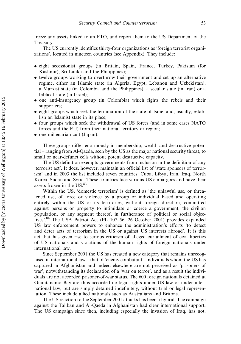freeze any assets linked to an FTO, and report them to the US Department of the Treasury.

The US currently identifies thirty-four organizations as 'foreign terrorist organizations', located in nineteen countries (see Appendix). They include:

- . eight secessionist groups (in Britain, Spain, France, Turkey, Pakistan (for Kashmir), Sri Lanka and the Philippines);
- . twelve groups working to overthrow their government and set up an alternative regime, either an Islamic state (in Algeria, Egypt, Lebanon and Uzbekistan), a Marxist state (in Colombia and the Philippines), a secular state (in Iran) or a biblical state (in Israel);
- . one anti-insurgency group (in Colombia) which fights the rebels and their supporters;
- . eight groups which seek the termination of the state of Israel and, usually, establish an Islamist state in its place;
- . four groups which seek the withdrawal of US forces (and in some cases NATO forces and the EU) from their national territory or region;
- . one millenarian cult (Japan).

These groups differ enormously in membership, wealth and destructive potential – ranging from Al-Qaeda, seen by the US as the major national security threat, to small or near-defunct cells without potent destructive capacity.

The US definition exempts governments from inclusion in the definition of any 'terrorist act'. It does, however, maintain an official list of 'state sponsors of terrorism' and in 2003 the list included seven countries: Cuba, Libya, Iran, Iraq, North Korea, Sudan and Syria. These countries face various US embargoes and have their assets frozen in the US.<sup>83</sup>

Within the US, 'domestic terrorism' is defined as 'the unlawful use, or threatened use, of force or violence by a group or individual based and operating entirely within the US or its territories, without foreign direction, committed against persons or property to intimidate or coerce a government, the civilian population, or any segment thereof, in furtherance of political or social objectives'.<sup>84</sup> The USA Patriot Act (PL 107–56, 26 October 2001) provides expanded US law enforcement powers to enhance the administration's efforts 'to detect and deter acts of terrorism in the US or against US interests abroad'. It is this act that has given rise to serious criticism of alleged curtailment of civil liberties of US nationals and violations of the human rights of foreign nationals under international law.

Since September 2001 the US has created a new category that remains unrecognised in international law – that of 'enemy combatant'. Individuals whom the US has captured in Afghanistan and indeed elsewhere are not perceived as 'prisoners of war', notwithstanding its declaration of a 'war on terror', and as a result the individuals are not accorded prisoner-of-war status. The 600 foreign nationals detained at Guantanamo Bay are thus accorded no legal rights under US law or under international law, but are simply detained indefinitely, without trial or legal representation. These include allied nationals such as Australians and Britons.

The US reaction to the September 2001 attacks has been a hybrid. The campaign against the Taliban and Al-Qaeda in Afghanistan had clear international support. The US campaign since then, including especially the invasion of Iraq, has not.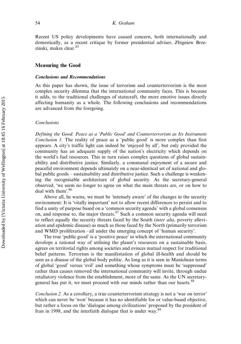Recent US policy developments have caused concern, both internationally and domestically, as a recent critique by former presidential adviser, Zbigniew Brzezinski, makes clear.<sup>85</sup>

#### Measuring the Good

#### Conclusions and Recommendations

As this paper has shown, the issue of terrorism and counterterrorism is the most complex security dilemma that the international community faces. This is because it adds, to the traditional challenges of statecraft, the more emotive issues directly affecting humanity as a whole. The following conclusions and recommendations are advanced from the foregoing.

#### Conclusions

Defining the Good: Peace as a 'Public Good' and Counterterrorism as Its Instrument Conclusion 1. The reality of peace as a 'public good' is more complex than first appears. A city's traffic light can indeed be 'enjoyed by all', but only provided the community has an adequate supply of the nation's electricity which depends on the world's fuel resources. This in turn raises complex questions of global sustainability and distributive justice. Similarly, a communal enjoyment of a secure and peaceful environment depends ultimately on a near-identical set of national and global public goods – sustainability and distributive justice. Such a challenge is weakening the recognisable architecture of global security. As the secretary-general observed, 'we seem no longer to agree on what the main threats are, or on how to deal with them'.<sup>86</sup>

Above all, he warns, we must be 'intensely aware' of the changes in the security environment: It is 'vitally important' not to allow recent differences to persist and to find a unity of purpose based on a 'common security agenda' with a global consensus on, and response to, the major threats.  $87$  Such a common security agenda will need to reflect equally the security threats faced by the South (inter alia, poverty alleviation and epidemic disease) as much as those faced by the North (primarily terrorism and WMD proliferation – all under the emerging concept of 'human security'.

The true 'public good' is a 'positive peace' in which the international community develops a rational way of utilising the planet's resources on a sustainable basis, agrees on territorial rights among societies and evinces mutual respect for traditional belief patterns. Terrorism is the manifestation of global ill-health and should be seen as a disease of the global body politic. As long as it is seen in Manichean terms of global 'good' versus 'evil' and something whose symptoms must be 'suppressed' rather than causes removed the international community will invite, through undue retaliatory violence from the establishment, more of the same. As the UN secretarygeneral has put it, we must proceed with our minds rather than our hearts.<sup>88</sup>

Conclusion 2. As a corollary, a true counterterrorism strategy is not a 'war on terror' which can never be 'won' because it has no identifiable foe or value-based objective, but rather a focus on the 'dialogue among civilizations' proposed by the president of Iran in 1998, and the interfaith dialogue that is under way.<sup>89</sup>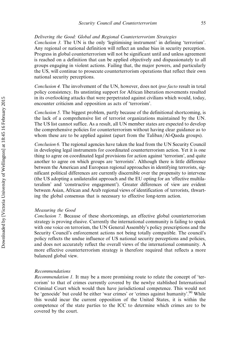#### Delivering the Good: Global and Regional Counterterrorism Strategies

Conclusion 3. The UN is the only 'legitimising instrument' in defining 'terrorism'. Any regional or national definition will reflect an undue bias in security perception. Progress in global counterterrorism will not be significant until and unless agreement is reached on a definition that can be applied objectively and dispassionately to all groups engaging in violent actions. Failing that, the major powers, and particularly the US, will continue to prosecute counterterrorism operations that reflect their own national security perceptions.

Conclusion 4. The involvement of the UN, however, does not *ipso facto* result in total policy consistency. Its unstinting support for African liberation movements resulted in its overlooking attacks that were perpetrated against civilians which would, today, encounter criticism and opposition as acts of 'terrorism'.

Conclusion 5. The biggest problem, partly because of the definitional shortcoming, is the lack of a comprehensive list of terrorist organizations maintained by the UN. The US list cannot suffice. As a result, all UN member states are expected to develop the comprehensive policies for counterterrorism without having clear guidance as to whom these are to be applied against (apart from the Taliban/Al-Qaeda groups).

Conclusion 6. The regional agencies have taken the lead from the UN Security Council in developing legal instruments for coordinated counterterrorism action. Yet it is one thing to agree on coordinated legal provisions for action against 'terrorism', and quite another to agree on which groups are 'terrorists'. Although there is little difference between the American and European regional approaches in identifying terrorists, significant political differences are currently discernible over the propensity to intervene (the US adopting a unilateralist approach and the EU opting for an 'effective multilateralism' and 'constructive engagement'). Greater differences of view are evident between Asian, African and Arab regional views of identification of terrorists, thwarting the global consensus that is necessary to effective long-term action.

#### Measuring the Good

Conclusion 7. Because of these shortcomings, an effective global counterterrorism strategy is proving elusive. Currently the international community is failing to speak with one voice on terrorism, the UN General Assembly's policy prescriptions and the Security Council's enforcement actions not being totally compatible. The council's policy reflects the undue influence of US national security perceptions and policies, and does not accurately reflect the overall views of the international community. A more effective counterterrorism strategy is therefore required that reflects a more balanced global view.

#### Recommendations

Recommendation 1. It may be a more promising route to relate the concept of 'terrorism' to that of crimes currently covered by the newlye stablished International Criminal Court which would then have jurisdictional competence. This would not be 'genocide' but could be either 'war crimes' or 'crimes against humanity'.<sup>90</sup> While this would incur the current opposition of the United States, it is within the competence of the state parties to the ICC to determine which crimes are to be covered by the court.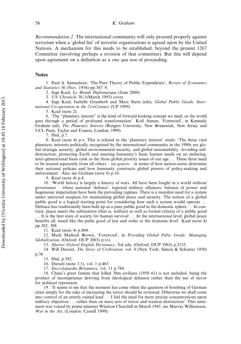Recommendation 2. The international community will only proceed properly against terrorism when a 'global list' of terrorist organizations is agreed upon by the United Nations. A mechanism for this needs to be established, beyond the present 1267 Committee (involving perhaps a revision of that committee). But this will depend upon agreement on a definition as a *sine qua non* of proceeding.

#### **Notes**

1. Paul A. Samuelson, 'The Pure Theory of Public Expenditure', Review of Economics and Statistics 36 (Nov. 1954) pp.387–9.

2. Inge Kaul, Le Monde Diplomatique (June 2000).

3. UN Chronicle  $30/1$ (March 1993) cover.

4. Inge Kaul, Isabelle Grunberb and Marc Stern (eds), Global Public Goods: International Co-operation in the 21stCentury (UP 1999).

5. Kaul (note 2).

6. 'The ''planetary interest'' is the kind of forward-looking concept we need, as the world goes through a period of profound transformation'. Kofi Annan, 'Foreword', in Kennedy Graham (ed), The Planetary Interest (Rutgers University, New Brunswick, New Jersey and UCL Press, Taylor and Francis, London, 1999).

7. Ibid, p.7.

8. Kaul (note 4) p.x. This is echoed in the 'planetary interest' study: 'The three vital planetary interests politically recognised by the international community in the 1990s are global strategic security, global environmental security, and global sustainability. Avoiding selfdestruction, protecting Earth and meeting humanity's basic human needs on an enduring, inter-generational basis rank as the three global priority issues of our age ... These three need to be treated separately from all others – *sui generis* – in terms of how nation-states determine their national policies and how humanity constructs global powers of policy-making and enforcement'. Also see Graham (note 6) p.10.

9. Kaul (note 4) p.4.

10. 'World history is largely a history of wars. All have been fought in a world without governance – where national 'defence', regional military alliances, balance of power and hegemonic imperialism have been the prevailing regimes. There is a manifest need for a system under universal auspices for maintaining global peace and security. The notion of a global public good is a logical starting point for considering how such a system would operate ... Defence has traditionally been held up as a pure public good in the domestic sphere ... In contrast, peace meets the substantive (that is, welfare) as well as formal criteria of a public good ... It is the best state of society for human survival ... At the international level, global peace benefits all, much like the pubic good of law and order at the domestic level'. Kaul (note 4) pp.382, 388.

11. Kaul (note 4) p.404.

12. Mark Malloch Brown, 'Foreword', in Providing Global Pubic Goods: Managing Globalization, (Oxford: OUP 2003) p.xvi.

13. Shorter Oxford English Dictionary, 3rd edn. (Oxford: OUP 1965) p.2155.

14. Will Durant, The Story of Civilization, vol. 4 (New York: Simon & Schuster 1950) p.36.

15. Ibid, p.592.

16. Durant (note 1.1), vol. 1 p.463.

17. Encyclopaedia Britannica, vol. 11 p.784.

18. China's great famine that killed 30m civilians (1959–61) is not included, being the product of incompetence deriving from ideological delusion rather than the use of terror for political repression.

19. 'It seems to me that the moment has come when the question of bombing of German cities simply for the sake of increasing the terror should be reviewed. Otherwise we shall come into control of an utterly ruined land ... I feel the need for more precise concentrations upon military objectives ... rather than on mere acts of terror and wanton destruction'. This sentiment was voiced by prime minister Winston Churchill in March 1945. see Murray Williamson, War in the Air, (London: Cassell 1999).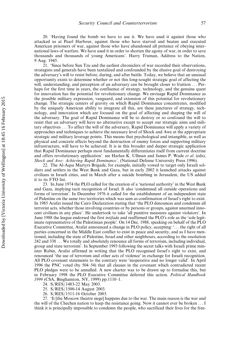20. 'Having found the bomb we have to use it. We have used it against those who attacked us at Pearl Harbour, against those who have starved and beaten and executed American prisoners of war, against those who have abandoned all pretence of obeying international laws of warfare. We have used it in order to shorten the agony of war, in order to save thousands and thousands of young Americans'. Harry Truman, Address to the Nation, 9 Aug. 1945.

21. 'Since before Sun Tzu and the earliest chroniclers of war recorded their observations, strategists and generals have been tantalized and confounded by the elusive goal of destroying the adversary's will to resist before, during, and after battle. Today, we believe that an unusual opportunity exists to determine whether or not this long-sought strategic goal of affecting the will, understanding, and perception of an adversary can be brought closer to fruition ... Perhaps for the first time in years, the confluence of strategy, technology, and the genuine quest for innovation has the potential for revolutionary change. We envisage Rapid Dominance as the possible military expression, vanguard, and extension of this potential for revolutionary change. The strategic centers of gravity on which Rapid Dominance concentrates, modified by the uniquely American ability to integrate all this, are these junctures of strategy, technology, and innovation which are focused on the goal of affecting and shaping the will of the adversary. The goal of Rapid Dominance will be to destroy or so confound the will to resist that an adversary will have no alternative except to accept our strategic aims and military objectives ... To affect the will of the adversary, Rapid Dominance will apply a variety of approaches and techniques to achieve the necessary level of Shock and Awe at the appropriate strategic and military leverage points. This means that psychological and intangible, as well as physical and concrete effects beyond the destruction of enemy forces and supporting military infrastructure, will have to be achieved. It is in this broader and deeper strategic application that Rapid Dominance perhaps most fundamentally differentiates itself from current doctrine and offers revolutionary application'. see Harlan K. Ullman and James P. Wade et al. (eds), Shock and Awe: Achieving Rapid Dominance', (National Defense University Press 1996).

22. The Al-Aqsa Martyrs Brigade, for example, initially vowed to target only Israeli soldiers and settlers in the West Bank and Gaza, but in early 2002 it launched attacks against civilians in Israeli cities, and in March after a suicide bombing in Jerusalem, the US added it to its FTO list.

23. In June 1974 the PLO called for the creation of a 'national authority' in the West Bank and Gaza, implying tacit recognition of Israel. It also 'condemned all outside operations and forms of terrorism'. In December 1976 it called for the establishment of an independent state of Palestine on the same two territories which was seen as confirmation of Israel's right to exist. In 1985 Arafat issued the Cairo Declaration stating that 'the PLO denounces and condemns all terrorist acts, whether those involving countries or by persons or groups, against unarmed innocent civilians in any place'. He undertook to take 'all punitive measures against violators'. In June 1988 the league endorsed the first intifada and reaffirmed the PLO's role as the 'sole legitimate representative of the Palestinian people'. On 14 Dec. 1988, speaking on behalf of the PLO Executive Committee, Arafat announced a change in PLO policy, accepting: '... the right of all parties concerned in the Middle East conflict to exist in peace and security, and as I have mentioned, including the state of Palestine, Israel and other neighbours, according to the resolution 242 and 338 ... We totally and absolutely renounce all forms of terrorism, including individual, group and state terrorism'. In September 1993 following the secret talks with Israeli prime minister Rabin, Arafat affirmed in writing that the PLO recognised Israel's right to exist, and renounced 'the use of terrorism and other acts of violence' in exchange for Israeli recognition. All PLO covenant statements to the contrary were 'inoperative and no longer valid'. In April 1996 the PNC voted (by 504–54) that all clauses in the covenant which contradicted recent PLO pledges were to be annulled. A new charter was to be drawn up to formalise this, but in February 1998 the PLO Executive Committee deferred this action. Political Handbook 1999 (CSA, Binghamton, NY, 1999) pp.1110–1.

24. S/RES/1483-22 May 2003.

25. S/RES/1500-14 August 2003.

26. S/RES/1511-16 October 2003.

27. 'It [the Moscow theatre siege] happens due to the war. The main reason is the war and the will of the Chechen nation to keep the resistance going. Now it cannot ever be broken ... I think it is principally impossible to condemn the people, who sacrificed their lives for the free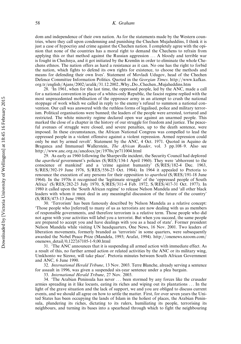dom and independence of their own nation. As for the statements made by the Western countries, where they call upon condemning and punishing the Chechen Mujaheddins, I think it is just a case of hypocrisy and crime against the Chechen nation. I completely agree with the opinion that none of the countries has a moral right to demand the Chechens to refrain from applying this or that method against the Russian aggression ... A bloody and terrible war is fought in Chechnya, and it got initiated by the Kremlin in order to eliminate the whole Chechens ethnos. The nation offers as hard a resistance as it can. No one has the right to forbid the nation, which fights to defend its own rights for existence, to choose the methods and means for defending their own lives'. Statement of Movladi Udugov, head of the Chechen Defence Committee Information Politics. Quoted in the Georgian Times. http://www.kafkas. org.tr/english/Ajans/2002/aralik/31.12.2002 Why Do Chechen Mujaheddins.htm

28. 'In 1961, when for the last time, the oppressed people, led by the ANC, made a call for a national convention in place of a whites-only Republic, the fascist regime replied with the most unprecedented mobilisation of the oppressor army in an attempt to crush the national stoppage of work which we called in reply to the enemy's refusal to summon a national convention. Our call was answered with the ruthless forms of legalised, police and military terrorism. Political organisations were banned; the leaders of the people were arrested, tortured and restricted. The white minority regime declared open war against an unarmed people. This marked the close of a chapter in the history of our struggle for freedom and justice. The peaceful avenues of struggle were closed, and severe penalties, up to the death sentence, were imposed. In these circumstances, the African National Congress was compelled to lead the oppressed people in a violent offensive against a violent repression. Armed repression could only be met by armed revolt'. Statement by the ANC, 4 Oct. 1971. Quoted in Aquino de Braganca and Immanuel Wallerstein, The African Reader, vol. 3 pp.108–9. Also see http://www.anc.org.za/ancdocs/pr/1970s/pr711004.html

29. As early as 1960 following the Sharpeville incident, the Security Council had deplored the *apartheid* government's policies  $(S/RES/134-1$  April 1960). They were 'abhorrent to the conscience of mankind' and a 'crime against humanity'  $(S/RES/182-4$  Dec. 1963,  $S/RES/392-19$  June 1976,  $S/RES/556-23$  Oct. 1984). In 1964 it appealed to Pretoria to renounce the execution of any persons for their opposition to *apartheid* ( $S/RES/191-18$  June 1964). In the 1970s it recognised the 'legitimate struggle' of the 'oppressed people of South Africa' (S/RES/282-23 July 1970, S/RES/311-4 Feb. 1972, S/RES/417-31 Oct. 1977). In 1980 it called upon the 'South African regime' to release Nelson Mandela and 'all other black leaders with whom it must deal in any meaningful discussion of the future of the country'  $(S/RES/473-13$  June 1980).

30. 'Terrorism' has been famously described by Nelson Mandela as a relative concept: 'Those people who [referred] to many of us as terrorists are now dealing with us as members of responsible governments, and therefore terrorism is a relative term. Those people who did not agree with your activities will label you a terrorist. But when you succeed, the same people are prepared to accept you and have dealings with you as a head of state'. Former president Nelson Mandela while visiting UN headquarters, One News, 16 Nov. 2001. Two leaders of liberation movements, formerly branded as 'terrorists' in some quarters, were subsequently awarded the Nobel Peace Prize (Mandela, 1993; Arafat, 1994). http://onenews.nzoom.com/ onenews\_detail/0,1227,67105-1-9,00.html

31. 'The ANC announces that it is suspending all armed action with immediate effect. As a result of this, no further armed action or related activities by the ANC or its military wing, Umkhonto we Sizswe, will take place'. Pretoria minutes between South African Government and ANC, 6 June 1990.

32. International Herald Tribune, 13 Nov. 2003. Terre Blanche, already serving a sentence for assault in 1996, was given a suspended six-year sentence under a plea bargain.

33. International Herald Tribune, 27 Nov. 2003.

34. 'The Arabian Peninsula has never ... been stormed by any forces like the crusader armies spreading in it like locusts, eating its riches and wiping out its plantations ... In the light of the grave situation and the lack of support, we and you are obliged to discuss current events, and we should all agree on how to settle the matter. First, for over seven years the United States has been occupying the lands of Islam in the holiest of places, the Arabian Peninsula, plundering its riches, dictating to its rulers, humiliating its people, terrorising its neighbours, and turning its bases into a spearhead through which to fight the neighbouring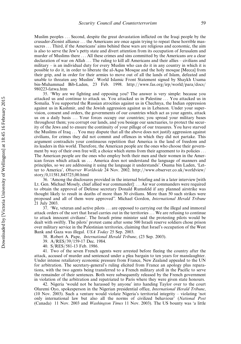Muslim peoples ... Second, despite the great devastation inflicted on the Iraqi people by the crusader-Zionist alliance ... the Americans are once again trying to repeat these horrible massacres ... Third, if the Americans' aims behind these wars are religious and economic, the aim is also to serve the Jew's petty state and divert attention from its occupation of Jerusalem and murder of Muslims there ... All these crimes and sins committed by the Americans are a clear declaration of war on Allah ... The ruling to kill all Americans and their allies – civilians and military – is an individual duty for every Muslim who can do it in any country in which it is possible to do it, in order to liberate the al-Aqsa Mosque and the holy mosque [Mecca] from their grip, and in order for their armies to move out of all the lands of Islam, defeated and unable to threaten any Muslim'. World Islamic Front Statement signed by Shaykh Usama bin-Muhammad Bib-Laden, 23 Feb. 1998. http://www.fas.org/irp/world/para/docs/ 980223-fatwa.htm

35. 'Why are we fighting and opposing you? The answer is very simple: because you attacked us and continue to attack us. You attacked us in Palestine ... You attacked us in Somalia. You supported the Russian atrocities against us in Chechnya, the Indian oppression against us in Kashmir, and the Jewish aggression against us in Lebanon. Under your supervision, consent and orders, the governments of our countries which act as your agents, attack us on a daily basis ... Your forces occupy our countries; you spread your military bases throughout them; you corrupt our lands, and you besiege our sanctuaries, to protect the security of the Jews and to ensure the continuity of your pillage of our treasures. You have starved the Muslims of Iraq ... You may dispute that all the above does not justify aggression against civilians, for crimes they did not commit and offences in which they did not partake. This argument contradicts your continuous repetition that America is the land of freedom and its leaders in this world. Therefore, the American people are the ones who choose their government by way of their own free will; a choice which stems from their agreement to its policies ... The American people are the ones who employ both their men and their women in the American forces which attack us ... America does not understand the language of manners and principles, so we are addressing it using the language it understands'. Osama bin Laden, 'Letter to America', Observer Worldwide 24 Nov. 2002. http://www.observer.co.uk/worldview/ story=0,11581,845725,00.html

36. 'Among the disclosures provided in the internal briefing and in a later interview [with Lt. Gen. Michael Mosely, chief allied war commander]: ... Air war commanders were required to obtain the approval of Defense secretary Donald Rumsfeld if any planned airstrike was thought likely to result in deaths of more than 30 civilians. More than 50 such strikes were proposed and all of them were approved''. Michael Gordon, International Herald Tribune 21 July 2003.

37. 'We, veteran and active pilots ... are opposed to carrying out the illegal and immoral attack orders of the sort that Israel carries out in the territories ... We are refusing to continue to attack innocent civilians'. The Israeli prime minister said the protesting pilots would be dealt with swiftly. The pilots' protest came after some 500 Israeli reserve soldiers chose prison over military service in the Palestinian territories, claiming that Israel's occupation of the West Bank and Gaza was illegal. USA Today 25 Sep. 2003.

38. Robert A. Pape, International Herald Tribune, (23 Sep. 2003).

- 39. A/RES/39/159-17 Dec. 1984.
- 40. S/RES/581-13 Feb. 1986.

41. Two of the seven French agents were arrested before fleeing the country after the attack, accused of murder and sentenced under a plea bargain to ten years for manslaughter. Under intense retaliatory economic pressure from France, New Zealand appealed to the UN for arbitration. The secretary-general's ruling elicited from France an apology plus reparations, with the two agents being transferred to a French military atoll in the Pacific to serve the remainder of their sentences. Both were subsequently released by the French government in violation of the arbitration and repatriated to Paris where they were given state honours.

42. Nigeria 'would not be harassed by anyone' into handing Taylor over to the court Oluremi Oyo, spokesperson in the Nigerian presidential office, International Herald Tribune, (10 Nov. 2003). Such a venture would violate Nigeria's territorial integrity – violating 'not only international law but also all the norms of civilized behaviour' (National Post (Canada) 11 Nov. 2003 and Washington Times 11 Nov. 2003). The US bounty was 'a little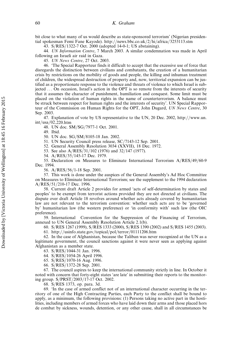bit close to what many of us would describe as state-sponsored terrorism' (Nigerian presidential spokesman Femi Fane Kayode). http://news.bbc.co.uk/2/hi/africa/3253113.stm

43. S/RES/1322-7 Oct. 2000 (adopted 14-0-1; US abstaining).

44. UN Information Centre, 7 March 2003. A similar condemnation was made in April following an Israeli air raid in Gaza.

45. UN News Centre, 27 Oct. 2003.

46. 'The Special Rapporteur finds it difficult to accept that the excessive use of force that disregards the distinction between civilians and combatants, the creation of a humanitarian crisis by restrictions on the mobility of goods and people, the killing and inhuman treatment of children, the widespread destruction of property and, now, territorial expansion can be justified as a proportionate response to the violence and threats of violence to which Israel is subjected ... On occasion, Israel's action in the OPT is so remote from the interests of security that it assumes the character of punishment, humiliation and conquest. Some limit must be placed on the violation of human rights in the name of counterterrorism. A balance must be struck between respect for human rights and the interests of security'. UN Special Rapporteur of the Commission on Human Rights for the OPT, John Dugard, UN News Centre, 30 Sep. 2003.

47. Explanation of vote by US representative to the UN, 20 Dec. 2002, http://www.un.  $int/$ usa $/02$  -220.htm

48. UN doc. SM/SG/7977-1 Oct. 2001.

49. Ibid.

50. UN doc. SG/SM/8105-18 Jan. 2002.

51. UN Security Council press release, SC/7143-12 Sep. 2001.

52. General Assembly Resolution 3034 (XXVII), 18 Dec. 1972.

53. See also A/RES/31/102 (1976) and 32/147 (1977).

54. A/RES/35/145-17 Dec. 1979.

55. Declaration on Measures to Eliminate International Terrorism  $A/RES/49/60-9$ Dec. 1994.

56. A/RES/56/1-18 Sep. 2001.

57. This work is done under the auspices of the General Assembly's Ad Hoc Committee on Measures to Eliminate International Terrorism; see the supplement to the 1994 declaration A/RES/51/210-17 Dec. 1996.

58. Current draft Article 2 provides for armed 'acts of self-determination by states and peoples' to be exempt from terrorist actions provided they are not directed at civilians. The dispute over draft Article 18 revolves around whether acts already covered by humanitarian law are not relevant to the terrorism convention: whether such acts are to be 'governed by' humanitarian law (the western preference) or 'in conformity with' such law (the OIC preference).

59. International Convention for the Suppression of the Financing of Terrorism, annexed to UN General Assembly Resolution Article 2.1(b).

60. S/RES 1267 (1999), S/RES 1333 (2000), S/RES 1390 (2002) and S/RES 1455 (2003).

61. http://usinfo.state.gov/topical/pol/terror/01111206.htm

62. In the case of Afghanistan, because the Taliban was never recognized at the UN as a legitimate government, the council sanctions against it were never seen as applying against Afghanistan as a member state.

63. S/RES/1044-31 Jan. 1996.

64. S/RES/1054-26 April 1996.

65. S/RES/1070-16 Aug. 1996.

66. S/RES/1372-28 Sep. 2001.

67. The council aspires to keep the international community strictly in line. In October it noted with concern that forty-eight states 'are late' in submitting their reports to the monitoring group. S/PRST/2003/17-17 Oct. 2002.

68. S/RES 1373, op. para. 3d.

69. 'In the case of armed conflict not of an international character occurring in the territory of one of the High Contracting Parties, each Party to the conflict shall be bound to apply, as a minimum, the following provisions: (1) Persons taking no active part in the hostilities, including members of armed forces who have laid down their arms and those placed hors de combat by sickness, wounds, detention, or any other cause, shall in all circumstances be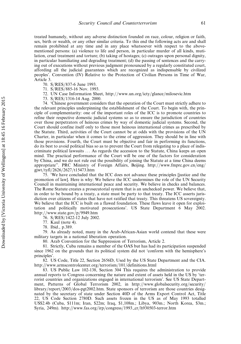treated humanely, without any adverse distinction founded on race, colour, religion or faith, sex, birth or wealth, or any other similar criteria. To this end the following acts are and shall remain prohibited at any time and in any place whatsoever with respect to the abovementioned persons: (a) violence to life and person, in particular murder of all kinds, mutilation, cruel treatment and torture; (b) taking of hostages; (c) outrages upon personal dignity, in particular humiliating and degrading treatment; (d) the passing of sentences and the carrying out of executions without previous judgment pronounced by a regularly constituted court, affording all the judicial guarantees which are recognized as indispensable by civilized peoples'. Convention (IV) Relative to the Protection of Civilian Persons in Time of War, Article 3.

70. S/RES/837-6 June 1993.

71. S/RES/885-16 Nov. 1993.

72. UN Case Information Sheet, http://www.un.org/icty/glance/milosevic.htm

73. S/RES/1316-14 Aug. 2000.

74. 'Chinese government considers that the operation of the Court must strictly adhere to the relevant principles underpinning the establishment of the Court. To begin with, the principle of complementarity: one of the important roles of the ICC is to promote countries to refine their respective domestic judicial systems so as to ensure the jurisdiction of countries over those perpetrators of heinous crimes by way of domestic judicial systems. Second, the Court should confine itself only to those most heinous international crimes as prescribed by the Statute. Third, activities of the Court cannot be at odds with the provisions of the UN Charter, in particular when it comes to the crime of aggression. They should be in line with those provisions. Fourth, the Court must be objective and fair in performing its functions, do its best to avoid political bias so as to prevent the Court from relegating to a place of indiscriminate political lawsuits ... As regards the accession to the Statute, China keeps an open mind. The practical performance of the Court will be one of the factors for consideration by China, and we do not rule out the possibility of joining the Statute at a time China deems appropriate". PRC Ministry of Foreign Affairs, Beijing. http://www.fmprc.gov.cn/eng/ gjwt/tyfl/2626/2627/t15473.htm

75. 'We have concluded that the ICC does not advance these principles [justice and the promotion of law]. Here is why: We believe the ICC undermines the role of the UN Security Council in maintaining international peace and security. We believe in checks and balances. The Rome Statute creates a prosecutorial system that is an unchecked power. We believe that, in order to be bound by a treaty, a state must be party to that treaty. The ICC asserts jurisdiction over citizens of states that have not ratified that treaty. This threatens US sovereignty. We believe that the ICC is built on a flawed foundation. These flaws leave it open for exploitation and politically motivated prosecutions'. US State Department 6 May 2002. http://www.state.gov/p/9949.htm

76. S/RES/1422-12 July 2002.

77. Kaul (note 4).

78. Ibid., p.389.

79. As already noted, many in the Arab-African-Asian world contend that these were military targets in a national liberation operation.

80. Arab Convention for the Suppression of Terrorism, Article 2.

81. Strictly, Cuba remains a member of the OAS but has had its participation suspended since 1962 on the grounds that its political system did not 'conform with the hemisphere's principles'.

82. US Code, Title 22, Section 2656D, Used by the US State Department and the CIA. http://www.armscontrolcenter.org/terrorism/101/definitions.html

83. US Public Law 102-138, Section 304 This requires the administration to provide annual reports to Congress concerning the nature and extent of assets held in the US by 'terrorist countries and organizations engaged in international terrorism'. See US State Department, Patterns of Global Terrorism 2002, in http://www.globalsecurity.org/security/ library/report/2003/dos-pgt2002.htm. State sponsors of terrorism are those countries designated by the secretary of state under Section 40D of the Arms Export Control Act, Title 22, US Code Section 2780D. Such assets frozen in the US as of May 1993 totalled US\$2.4b (Cuba, \$111m; Iran, \$22m; Iraq, \$1,108m.; Libya, 903m.; North Korea, \$3m.; Syria, 249m). http://www.fas.org/irp/congress/1993\_cr/h930503-terror.htm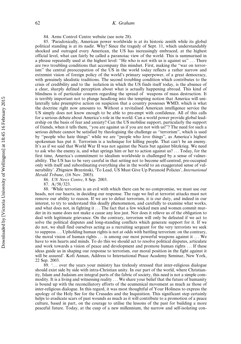84. Arms Control Centre website (see note 28).

85. 'Paradoxically, American power worldwide is at its historic zenith while its global political standing is at its nadir. Why? Since the tragedy of Sept. 11, which understandably shocked and outraged every American, the US has increasingly embraced, at the highest official level, what can fairly be called a paranoiac view of the world. This is summarised in a phrase repeatedly used at the highest level: ''He who is not with us is against us'' ... There are two troubling conditions that accompany this mindset. First, making the ''war on terrorism'' the central preoccupation of the US in the world today reflects a rather narrow and extremist vision of foreign policy of the world's primary superpower, of a great democracy, with genuinely idealistic traditions. The second troubling condition which contributes to the crisis of credibility and to the isolation in which the US finds itself today, is the absence of a clear, sharply defined perception about what is actually happening abroad. This kind of blindness is of particular concern regarding the spread of weapons of mass destruction. It is terribly important not to plunge headlong into the tempting notion that America will unilaterally take preemptive action on suspicion that a country possesses WMD, which is what the doctrine right now amounts to. Without a revitalised American intelligence service the US simply does not know enough to be able to pre-empt with confidence. All of this calls for a serious debate about America's role in the world. Can a world power provide global leadership on the basis of fear and anxiety? Can the US mobilise support, particularly the support of friends, when it tells them, ''you are against us if you are not with us!''? The need for such a serious debate cannot be satisfied by theologising the challenge as ''terrorism'', which is used by ''people who hate things'' while we are ''people who love things'', as America's highest spokesman has put it. Terrorism is a technique for killing people. That can't be an enemy. It's as if we said that World War II was not against the Nazis but against blitzkrieg. We need to ask who the enemy is, and what springs him or her to action against us? ... Today, for the first time, America's commitment to idealism worldwide is challenged by a sense of vulnerability. The US has to be very careful in that setting not to become self-centred, pre-occupied only with itself and subordinating everything else in the world to an exaggerated sense of vulnerability'. Zbigniew Brzezinski, 'To Lead, US Must Give Up Paranoid Policies', International Herald Tribune, (16 Nov. 2003).

86. UN News Centre, 8 Sep. 2003.

87. A/58/323.

88. 'While terrorism is an evil with which there can be no compromise, we must use our heads, not our hearts, in deciding our response. The rage we feel at terrorist attacks must not remove our ability to reason. If we are to defeat terrorism, it is our duty, and indeed in our interest, to try to understand this deadly phenomenon, and carefully to examine what works, and what does not, in fighting it ... The fact that a few wicked men and women commit murder in its name does not make a cause any less just. Nor does it relieve us of the obligation to deal with legitimate grievance. On the contrary, terrorism will only be defeated if we act to solve the political disputes and long-standing conflicts which generate support for it. If we do not, we shall find ourselves acting as a recruiting sergeant for the very terrorists we seek to suppress ... Upholding human rights is not at odds with battling terrorism: on the contrary, the moral vision of human rights ... is among our most powerful weapons against it ... We have to win hearts and minds. To do this we should act to resolve political disputes, articulate and work towards a vision of peace and development and promote human rights ... If these ideas guide us in shaping our response to terrorism, our moral position in the fight against it will be assured'. Kofi Annan, Address to International Peace Academy Seminar, New York, 22 Sep. 2003.

89. '... over the years your ministry has tirelessly stressed that inter-religious dialogue should exist side by side with intra-Christian unity. In our part of the world, where Christianity, Islam and Judaism are integral parts of the fabric of society, this need is not a simple commodity. It is a living and witnessing reality ... We share your belief that the future of humanity is bound up with the reconciliatory efforts of the ecumenical movement as much as those of inter-religious dialogue. In this regard, it was most thoughtful of Your Holiness to express the apology of the Holy See for the Crusades and the Inquisition. This significant step certainly helps to eradicate scars of past wounds as much as it will contribute to a promotion of a peace culture, based in part, on the courage to utilise the lessons of the past for building a more peaceful future. Today, at the cusp of a new millennium, the narrow and self-isolating con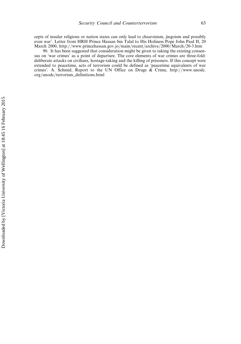cepts of insular religions or nation states can only lead to chauvinism, jingoism and possibly even war'. Letter from HRH Prince Hassan bin Talal to His Holiness Pope John Paul II, 20 March 2000, http://www.princehassan.gov.jo/main/recent/archive/2000/March/20-3.htm

90. It has been suggested that consideration might be given to taking the existing consensus on 'war crimes' as a point of departure. The core elements of war crimes are three-fold: deliberate attacks on civilians, hostage-taking and the killing of prisoners. If this concept were extended to peacetime, acts of terrorism could be defined as 'peacetime equivalents of war crimes'. A. Schmid, Report to the UN Office on Drugs  $\&$  Crime, http://www.unodc. org/unodc/terrorism\_definitions.html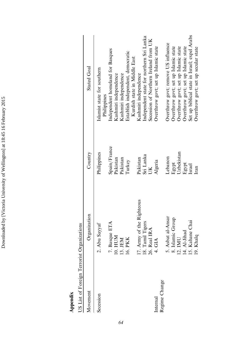| י<br>;<br>֧֧֧֧֧֧֧ׅ֧֧֧֧֧֧֛֚֚֚֚֚֚֚֚֚֚֚֚֚֚֚֚֚֚֚֚֚֚֚֚֚֝֝֝֝֟֓֝֟֓֝֬֜֜֜֜֜֜֜ |
|----------------------------------------------------------------------|
|                                                                      |
|                                                                      |
|                                                                      |
| l                                                                    |
|                                                                      |
| ;<br>;                                                               |
|                                                                      |
| י<br>י                                                               |
|                                                                      |
|                                                                      |
|                                                                      |
| $\ddot{\phantom{0}}$<br>١                                            |
| $15.0 + 1.0$                                                         |
|                                                                      |
|                                                                      |
| $\mathbf{H}$                                                         |
|                                                                      |
| י                                                                    |
|                                                                      |
| l                                                                    |
|                                                                      |
|                                                                      |
| ו<br>ו                                                               |
|                                                                      |
|                                                                      |
|                                                                      |
|                                                                      |
| $\ddot{ }$<br>l                                                      |
|                                                                      |
|                                                                      |
|                                                                      |
|                                                                      |
|                                                                      |
|                                                                      |
|                                                                      |
|                                                                      |

# Appendix

US List of Foreign Terrorist Organizations f Ė  $\overline{\phantom{0}}$ 

| US List of Foreign Terrorist ( | <b>Jrganizations</b>                        |                |                                                                   |
|--------------------------------|---------------------------------------------|----------------|-------------------------------------------------------------------|
| Movement                       | Organization                                | Country        | Stated Goal                                                       |
| Secession                      | Abu Sayyaf<br>$\overline{\mathcal{C}}$      | Philippines    | Islamist state for southern<br>Philippines                        |
|                                | Basque ETA                                  | Spain/France   | Independent homeland for Basques                                  |
|                                | <b>NUH</b><br>₫                             | Pakistan       | Kashmiri independence                                             |
|                                | JEM<br>$\overline{13}$ .                    | Pakistan       | Kashmiri independence                                             |
|                                | <b>PKK</b><br><u>َی</u>                     | Turkey         | Establish independent, democratic<br>Kurdish state in Middle East |
|                                | Army of the Righteous                       | Pakistan       | Kashmiri independence                                             |
|                                | Tamil Tigers<br>$\frac{1}{2}$ $\frac{1}{2}$ | Sri Lanka      | Independent state for northern Sri Lanka                          |
|                                | Real IRA<br>26.                             | $\overline{K}$ | Secession of Northern Ireland from UK                             |
| Regime Change<br>Internal      | $\widetilde{\rm GL}$<br>4                   | Algeria        | Overthrow govt; set up Islamic state                              |
|                                | Asbat al-Ansar                              | Lebanon        | Overthrow govt; remove US influence                               |
|                                | Islamic Group<br><u>ທ່ ຜ່</u>               | Egypt          | Overthrow govt; set up Islamic state                              |
|                                | IMU<br>$\bar{\omega}$                       | Uzbekistan     | Overthrow govt; set up Islamic state                              |
|                                | Al-Jihad<br>$\vec{A}$                       | Egypt          | Overthrow govt; set up Islamic state                              |
|                                | Kahane Chai<br>$\overline{15}$              | Israel         | Set up biblical state in Israel; expel Arabs                      |
|                                | Khalq<br>$\overline{9}$                     | Iran           | Overthrow govt; set up secular state                              |
|                                |                                             |                |                                                                   |